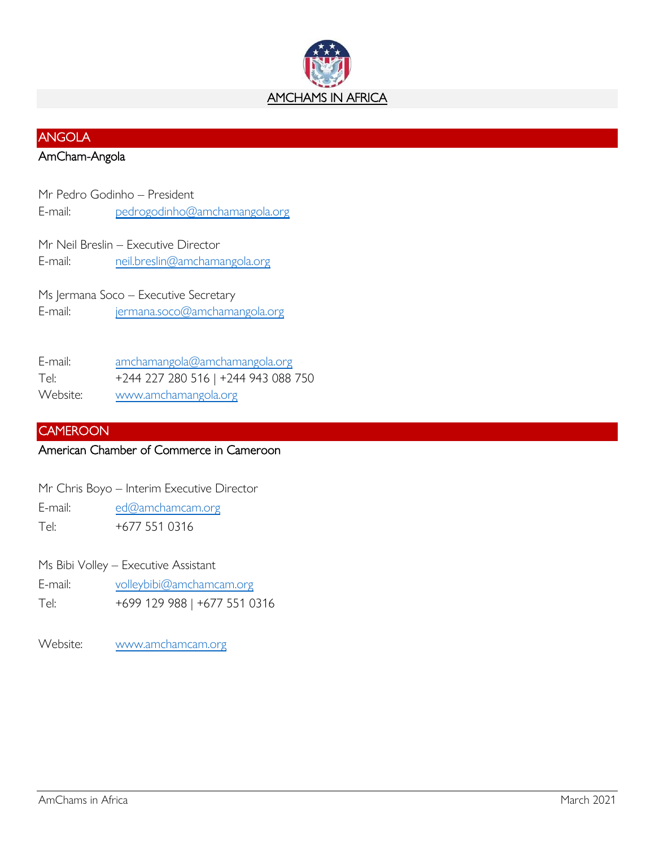

# ANGOLA

# AmCham-Angola

Mr Pedro Godinho – President E-mail: [pedrogodinho@amchamangola.org](mailto:pedrogodinho@amchamangola.org)

Mr Neil Breslin – Executive Director E-mail: [neil.breslin@amchamangola.org](mailto:neil.breslin@amchamangola.org)

Ms Jermana Soco – Executive Secretary E-mail: [jermana.soco@amchamangola.org](mailto:jermana.soco@amchamangola.org)

E-mail: [amchamangola@amchamangola.org](mailto:amchamangola@amchamangola.org) Tel: +244 227 280 516 | +244 943 088 750 Website: [www.amchamangola.org](http://www.amchamangola.org/)

# **CAMEROON**

# American Chamber of Commerce in Cameroon

E-mail: [ed@amchamcam.org](mailto:ed@amchamcam.org) Tel: +677 551 0316

Ms Bibi Volley – Executive Assistant

- E-mail: [volleybibi@amchamcam.org](mailto:volleybibi@amchamcam.org)
- Tel: +699 129 988 | +677 551 0316

Website: [www.amchamcam.org](http://www.amchamcam.org/)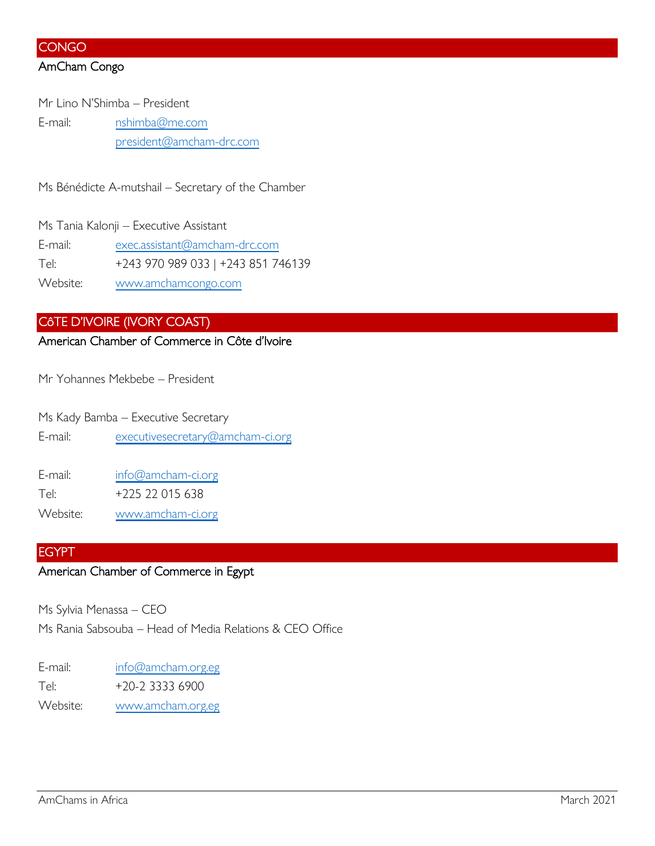## **CONGO**

## AmCham Congo

Mr Lino N'Shimba – President E-mail: [nshimba@me.com](mailto:nshimba@me.com) [president@amcham-drc.com](mailto:president@amcham-drc.com)

Ms Bénédicte A-mutshail – Secretary of the Chamber

Ms Tania Kalonji – Executive Assistant E-mail: [exec.assistant@amcham-drc.com](mailto:exec.assistant@amcham-drc.com) Tel: +243 970 989 033 | +243 851 746139 Website: [www.amchamcongo.com](http://www.amchamcongo.com/)

# CôTE D'IVOIRE (IVORY COAST)

American Chamber of Commerce in Côte d'Ivoire

Mr Yohannes Mekbebe – President

Ms Kady Bamba – Executive Secretary E-mail: [executivesecretary@amcham-ci.org](mailto:executivesecretary@amcham-ci.org)

E-mail: [info@amcham-ci.org](mailto:info@amcham-ci.org)

Tel: +225 22 015 638

Website: [www.amcham-ci.org](http://www.amcham-ci.org/)

#### EGYPT

# American Chamber of Commerce in Egypt

Ms Sylvia Menassa – CEO

Ms Rania Sabsouba – Head of Media Relations & CEO Office

E-mail: [info@amcham.org.eg](mailto:info@amcham.org.eg) Tel: +20-2 3333 6900 Website: [www.amcham.org.eg](http://www.amcham.org.eg/)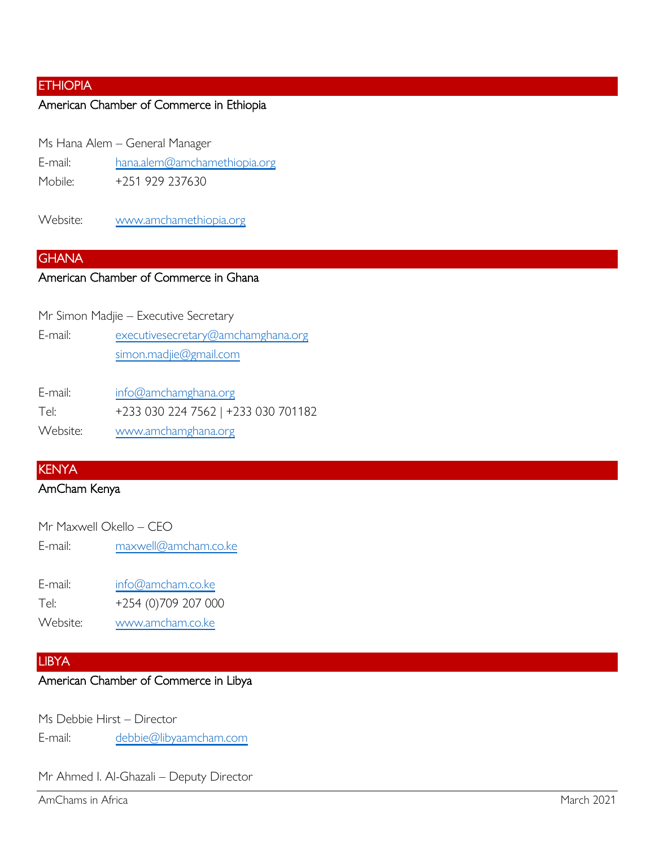# **ETHIOPIA**

# American Chamber of Commerce in Ethiopia

Ms Hana Alem – General Manager

E-mail: [hana.alem@amchamethiopia.org](mailto:hana.alem@amchamethiopia.org)

Mobile: +251 929 237630

Website: [www.amchamethiopia.org](http://www.amchamethiopia.org/)

#### **GHANA**

### American Chamber of Commerce in Ghana

Mr Simon Madjie – Executive Secretary

E-mail: [executivesecretary@amchamghana.org](mailto:executivesecretary@amchamghana.org) [simon.madjie@gmail.com](mailto:simon.madjie@gmail.com)

E-mail: [info@amchamghana.org](mailto:info@amchamghana.org)

Tel: +233 030 224 7562 | +233 030 701182

Website: [www.amchamghana.org](http://www.amchamghana.org/)

## KENYA

# AmCham Kenya

| Mr Maxwell Okello - CEO |                      |
|-------------------------|----------------------|
| E-mail:                 | maxwell@amcham.co.ke |

| E-mail:  | info@amcham.co.ke   |
|----------|---------------------|
| Tel:     | +254 (0)709 207 000 |
| Website: | www.amcham.co.ke    |

# LIBYA

# American Chamber of Commerce in Libya

Ms Debbie Hirst – Director E-mail: [debbie@libyaamcham.com](mailto:debbie@libyaamcham.com)

Mr Ahmed I. Al-Ghazali – Deputy Director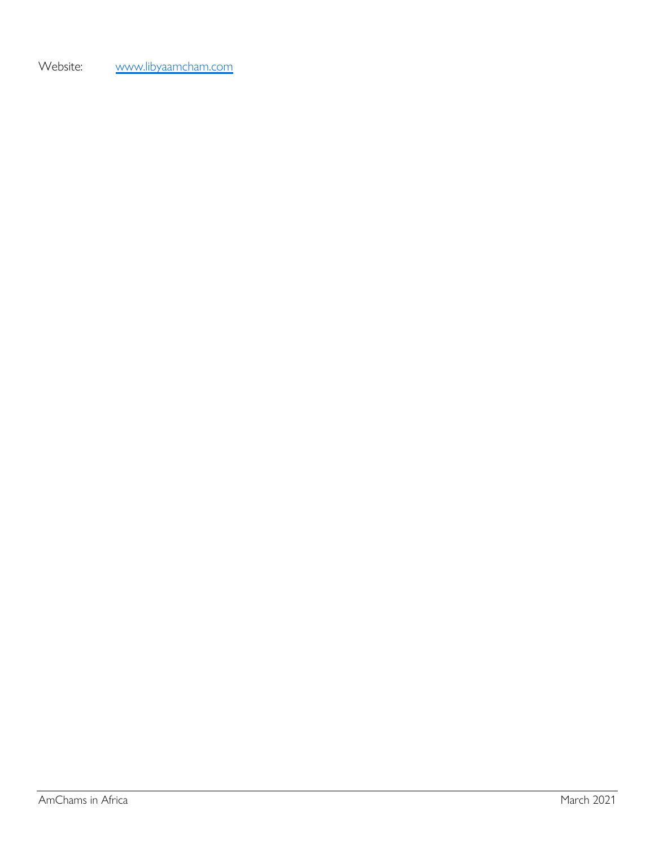Website: [www.libyaamcham.com](http://www.libyaamcham.com/)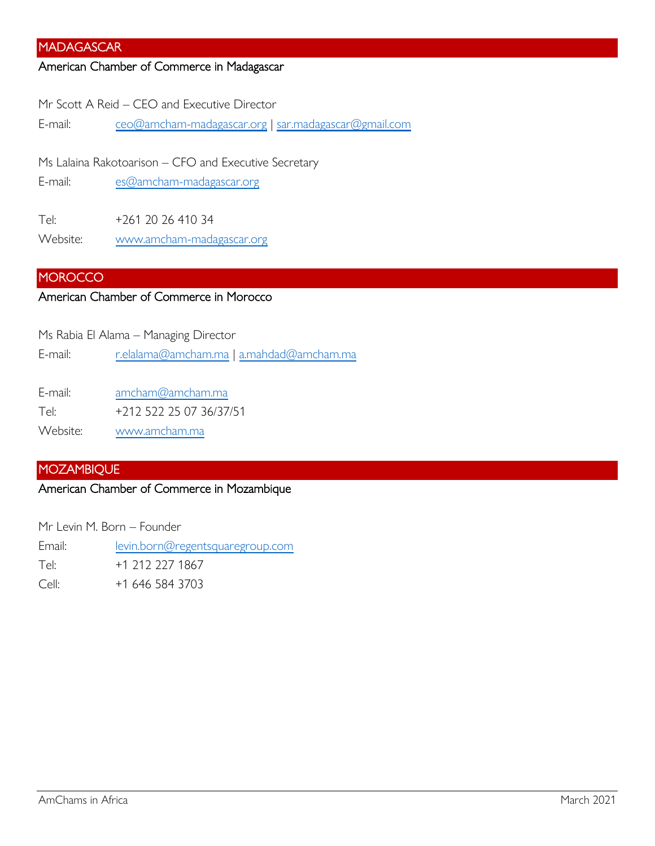### MADAGASCAR

#### American Chamber of Commerce in Madagascar

Mr Scott A Reid – CEO and Executive Director

E-mail: [ceo@amcham-madagascar.org](mailto:ceo@amcham-madagascar.org) | [sar.madagascar@gmail.com](mailto:sar.madagascar@gmail.com)

Ms Lalaina Rakotoarison – CFO and Executive Secretary

E-mail: [es@amcham-madagascar.org](mailto:es@amcham-madagascar.org)

Tel: +261 20 26 410 34 Website: [www.amcham-madagascar.org](http://www.amcham-madagascar.org/)

### **MOROCCO**

### American Chamber of Commerce in Morocco

Ms Rabia El Alama – Managing Director

E-mail: [r.elalama@amcham.ma](mailto:r.elalama@amcham.ma) | [a.mahdad@amcham.ma](mailto:a.mahdad@amcham.ma)

E-mail: [amcham@amcham.ma](mailto:amcham@amcham.ma)

Tel: +212 522 25 07 36/37/51

Website: [www.amcham.ma](http://www.amcham.ma/)

#### MOZAMBIQUE

## American Chamber of Commerce in Mozambique

Mr Levin M. Born – Founder

Email: [levin.born@regentsquaregroup.com](mailto:levin.born@regentsquaregroup.com) Tel: +1 212 227 1867 Cell: +1 646 584 3703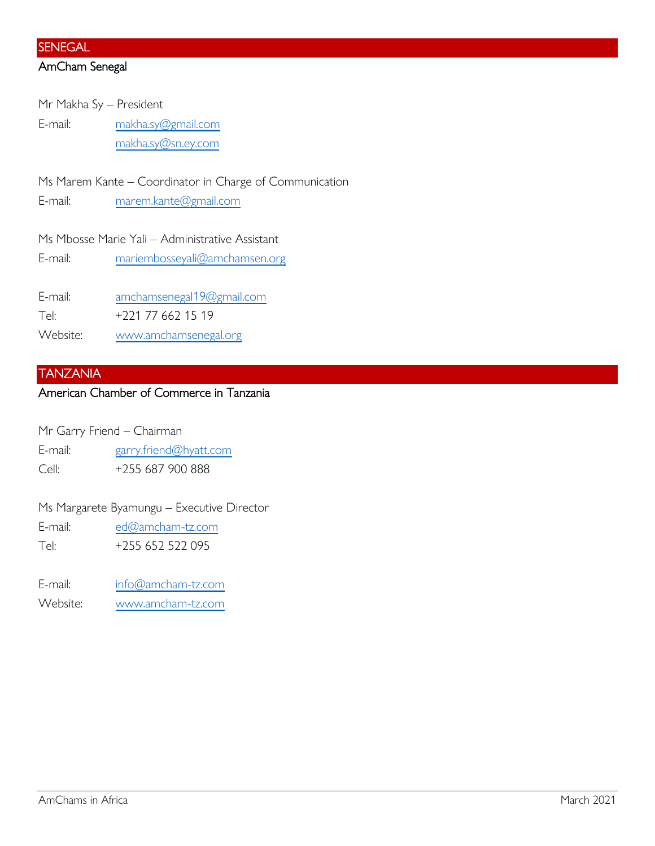#### **SENEGAL**

# AmCham Senegal

Mr Makha Sy – President E-mail: [makha.sy@gmail.com](mailto:makha.sy@gmail.com) [makha.sy@sn.ey.com](mailto:makha.sy@sn.ey.com)

Ms Marem Kante – Coordinator in Charge of Communication

E-mail: [marem.kante@gmail.com](mailto:marem.kante@gmail.com)

Ms Mbosse Marie Yali – Administrative Assistant

E-mail: [mariembosseyali@amchamsen.org](mailto:mariembosseyali@amchamsen.org)

E-mail: [amchamsenegal19@gmail.com](mailto:amchamsenegal19@gmail.com)

Tel: +221 77 662 15 19

Website: [www.amchamsenegal.org](http://www.amchamsenegal.org/)

#### TANZANIA

# American Chamber of Commerce in Tanzania

- Mr Garry Friend Chairman
- E-mail: [garry.friend@hyatt.com](mailto:garry.friend@hyatt.com)
- Cell: +255 687 900 888

Ms Margarete Byamungu – Executive Director

E-mail: [ed@amcham-tz.com](mailto:ed@amcham-tz.com)

Tel: +255 652 522 095

- E-mail: [info@amcham-tz.com](mailto:info@amcham-tz.com)
- Website: [www.amcham-tz.com](http://www.amcham-tz.com/)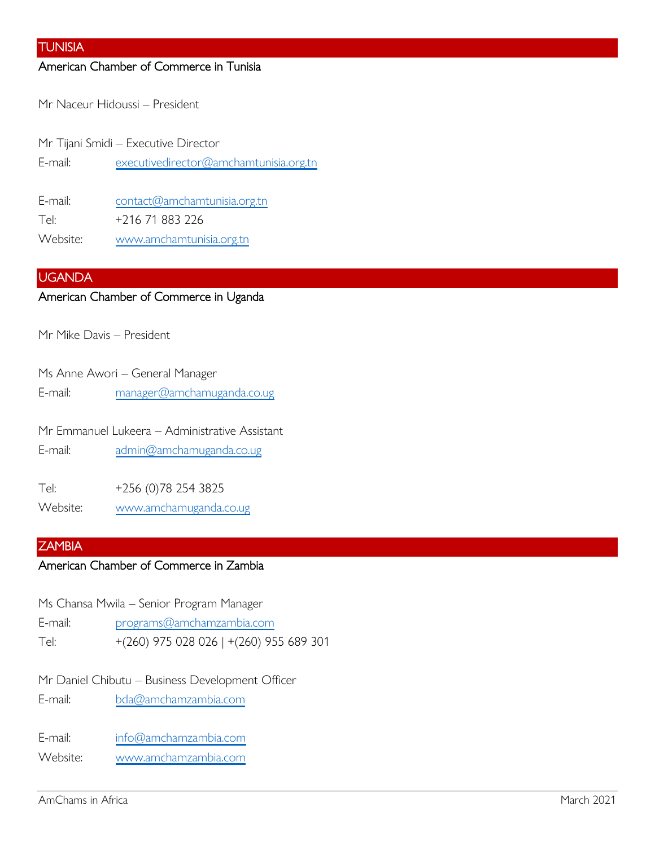#### TUNISIA

## American Chamber of Commerce in Tunisia

Mr Naceur Hidoussi – President

Mr Tijani Smidi – Executive Director E-mail: [executivedirector@amchamtunisia.org.tn](mailto:executivedirector@amchamtunisia.org.tn)

E-mail: [contact@amchamtunisia.org.tn](mailto:contact@amchamtunisia.org.tn) Tel: +216 71 883 226

Website: [www.amchamtunisia.org.tn](http://www.amchamtunisia.org.tn/)

## UGANDA

### American Chamber of Commerce in Uganda

Mr Mike Davis – President

Ms Anne Awori – General Manager

E-mail: [manager@amchamuganda.co.ug](mailto:manager@amchamuganda.co.ug)

Mr Emmanuel Lukeera – Administrative Assistant

E-mail: [admin@amchamuganda.co.ug](mailto:admin@amchamuganda.co.ug)

Tel: +256 (0)78 254 3825

Website: [www.amchamuganda.co.ug](http://www.amchamuganda.co.ug/)

#### **ZAMBIA**

#### American Chamber of Commerce in Zambia

Ms Chansa Mwila – Senior Program Manager

E-mail: [programs@amchamzambia.com](mailto:programs@amchamzambia.com)

Tel: +(260) 975 028 026 | +(260) 955 689 301

Mr Daniel Chibutu – Business Development Officer

E-mail: [bda@amchamzambia.com](mailto:bda@amchamzambia.com)

E-mail: [info@amchamzambia.com](mailto:info@amchamzambia.com)

Website: [www.amchamzambia.com](http://www.amchamzambia.com/)